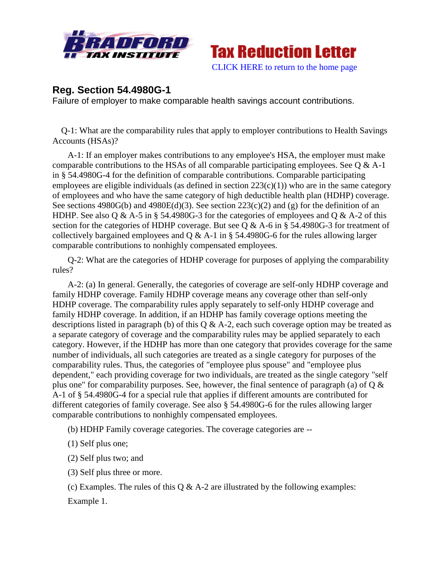



## **Reg. Section 54.4980G-1**

Failure of employer to make comparable health savings account contributions.

 Q-1: What are the comparability rules that apply to employer contributions to Health Savings Accounts (HSAs)?

A-1: If an employer makes contributions to any employee's HSA, the employer must make comparable contributions to the HSAs of all comparable participating employees. See Q & A-1 in § 54.4980G-4 for the definition of comparable contributions. Comparable participating employees are eligible individuals (as defined in section  $223(c)(1)$ ) who are in the same category of employees and who have the same category of high deductible health plan (HDHP) coverage. See sections  $4980G(b)$  and  $4980E(d)(3)$ . See section  $223(c)(2)$  and (g) for the definition of an HDHP. See also Q & A-5 in § 54.4980G-3 for the categories of employees and Q & A-2 of this section for the categories of HDHP coverage. But see Q & A-6 in § 54.4980G-3 for treatment of collectively bargained employees and  $\overline{Q} \& A-1$  in § 54.4980G-6 for the rules allowing larger comparable contributions to nonhighly compensated employees.

Q-2: What are the categories of HDHP coverage for purposes of applying the comparability rules?

A-2: (a) In general. Generally, the categories of coverage are self-only HDHP coverage and family HDHP coverage. Family HDHP coverage means any coverage other than self-only HDHP coverage. The comparability rules apply separately to self-only HDHP coverage and family HDHP coverage. In addition, if an HDHP has family coverage options meeting the descriptions listed in paragraph (b) of this  $\dot{O}$  & A-2, each such coverage option may be treated as a separate category of coverage and the comparability rules may be applied separately to each category. However, if the HDHP has more than one category that provides coverage for the same number of individuals, all such categories are treated as a single category for purposes of the comparability rules. Thus, the categories of "employee plus spouse" and "employee plus dependent," each providing coverage for two individuals, are treated as the single category "self plus one" for comparability purposes. See, however, the final sentence of paragraph (a) of  $Q \&$ A-1 of § 54.4980G-4 for a special rule that applies if different amounts are contributed for different categories of family coverage. See also § 54.4980G-6 for the rules allowing larger comparable contributions to nonhighly compensated employees.

(b) HDHP Family coverage categories. The coverage categories are --

(1) Self plus one;

(2) Self plus two; and

(3) Self plus three or more.

(c) Examples. The rules of this  $Q & A-2$  are illustrated by the following examples: Example 1.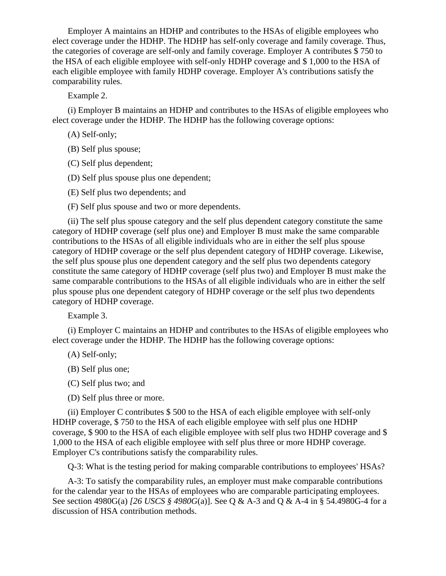Employer A maintains an HDHP and contributes to the HSAs of eligible employees who elect coverage under the HDHP. The HDHP has self-only coverage and family coverage. Thus, the categories of coverage are self-only and family coverage. Employer A contributes \$ 750 to the HSA of each eligible employee with self-only HDHP coverage and \$ 1,000 to the HSA of each eligible employee with family HDHP coverage. Employer A's contributions satisfy the comparability rules.

Example 2.

(i) Employer B maintains an HDHP and contributes to the HSAs of eligible employees who elect coverage under the HDHP. The HDHP has the following coverage options:

(A) Self-only;

(B) Self plus spouse;

(C) Self plus dependent;

(D) Self plus spouse plus one dependent;

(E) Self plus two dependents; and

(F) Self plus spouse and two or more dependents.

(ii) The self plus spouse category and the self plus dependent category constitute the same category of HDHP coverage (self plus one) and Employer B must make the same comparable contributions to the HSAs of all eligible individuals who are in either the self plus spouse category of HDHP coverage or the self plus dependent category of HDHP coverage. Likewise, the self plus spouse plus one dependent category and the self plus two dependents category constitute the same category of HDHP coverage (self plus two) and Employer B must make the same comparable contributions to the HSAs of all eligible individuals who are in either the self plus spouse plus one dependent category of HDHP coverage or the self plus two dependents category of HDHP coverage.

Example 3.

(i) Employer C maintains an HDHP and contributes to the HSAs of eligible employees who elect coverage under the HDHP. The HDHP has the following coverage options:

(A) Self-only;

(B) Self plus one;

(C) Self plus two; and

(D) Self plus three or more.

(ii) Employer C contributes \$ 500 to the HSA of each eligible employee with self-only HDHP coverage, \$ 750 to the HSA of each eligible employee with self plus one HDHP coverage, \$ 900 to the HSA of each eligible employee with self plus two HDHP coverage and \$ 1,000 to the HSA of each eligible employee with self plus three or more HDHP coverage. Employer C's contributions satisfy the comparability rules.

Q-3: What is the testing period for making comparable contributions to employees' HSAs?

A-3: To satisfy the comparability rules, an employer must make comparable contributions for the calendar year to the HSAs of employees who are comparable participating employees. See section 4980G(a) *[26 USCS § 4980G*(a)]. See Q & A-3 and Q & A-4 in § 54.4980G-4 for a discussion of HSA contribution methods.